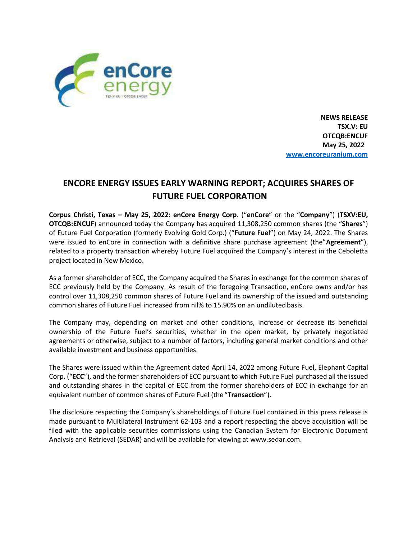

**NEWS RELEASE TSX.V: EU OTCQB:ENCUF May 25, 2022 [www.encoreuranium.com](http://www.encoreuranium.com/)**

## **ENCORE ENERGY ISSUES EARLY WARNING REPORT; ACQUIRES SHARES OF FUTURE FUEL CORPORATION**

**Corpus Christi, Texas – May 25, 2022: enCore Energy Corp.** ("**enCore**" or the "**Company**") (**TSXV:EU, OTCQB:ENCUF**) announced today the Company has acquired 11,308,250 common shares (the "**Shares**") of Future Fuel Corporation (formerly Evolving Gold Corp.) ("**Future Fuel**") on May 24, 2022. The Shares were issued to enCore in connection with a definitive share purchase agreement (the"**Agreement**"), related to a property transaction whereby Future Fuel acquired the Company's interest in the Ceboletta project located in New Mexico.

As a former shareholder of ECC, the Company acquired the Shares in exchange for the common shares of ECC previously held by the Company. As result of the foregoing Transaction, enCore owns and/or has control over 11,308,250 common shares of Future Fuel and its ownership of the issued and outstanding common shares of Future Fuel increased from nil% to 15.90% on an undilutedbasis.

The Company may, depending on market and other conditions, increase or decrease its beneficial ownership of the Future Fuel's securities, whether in the open market, by privately negotiated agreements or otherwise, subject to a number of factors, including general market conditions and other available investment and business opportunities.

The Shares were issued within the Agreement dated April 14, 2022 among Future Fuel, Elephant Capital Corp. ("**ECC**"), and the former shareholders of ECC pursuant to which Future Fuel purchased all the issued and outstanding shares in the capital of ECC from the former shareholders of ECC in exchange for an equivalent number of common shares of Future Fuel (the"**Transaction**").

The disclosure respecting the Company's shareholdings of Future Fuel contained in this press release is made pursuant to Multilateral Instrument 62-103 and a report respecting the above acquisition will be filed with the applicable securities commissions using the Canadian System for Electronic Document Analysis and Retrieval (SEDAR) and will be available for viewing a[t www.sedar.com.](http://www.sedar.com/)